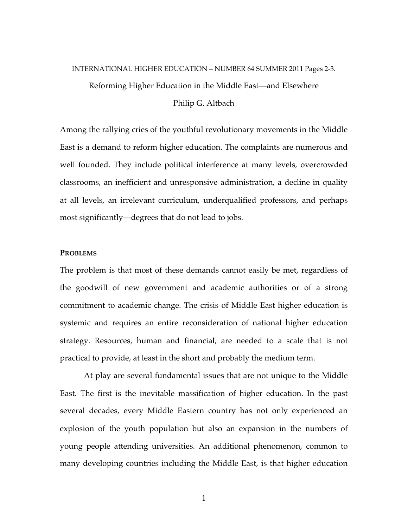# INTERNATIONAL HIGHER EDUCATION – NUMBER 64 SUMMER 2011 Pages 2-3. Reforming Higher Education in the Middle East—and Elsewhere Philip G. Altbach

Among the rallying cries of the youthful revolutionary movements in the Middle East is a demand to reform higher education. The complaints are numerous and well founded. They include political interference at many levels, overcrowded classrooms, an inefficient and unresponsive administration, a decline in quality at all levels, an irrelevant curriculum, underqualified professors, and perhaps most significantly—degrees that do not lead to jobs.

#### **PROBLEMS**

The problem is that most of these demands cannot easily be met, regardless of the goodwill of new government and academic authorities or of a strong commitment to academic change. The crisis of Middle East higher education is systemic and requires an entire reconsideration of national higher education strategy. Resources, human and financial, are needed to a scale that is not practical to provide, at least in the short and probably the medium term.

At play are several fundamental issues that are not unique to the Middle East. The first is the inevitable massification of higher education. In the past several decades, every Middle Eastern country has not only experienced an explosion of the youth population but also an expansion in the numbers of young people attending universities. An additional phenomenon, common to many developing countries including the Middle East, is that higher education

1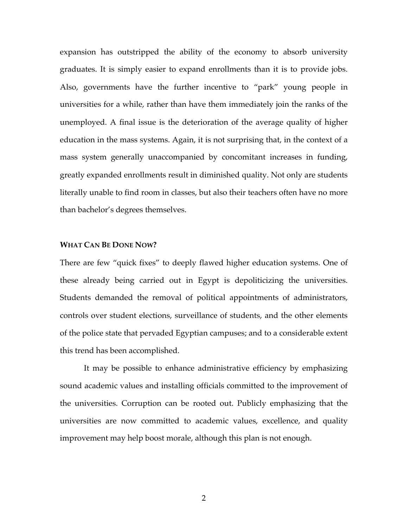expansion has outstripped the ability of the economy to absorb university graduates. It is simply easier to expand enrollments than it is to provide jobs. Also, governments have the further incentive to "park" young people in universities for a while, rather than have them immediately join the ranks of the unemployed. A final issue is the deterioration of the average quality of higher education in the mass systems. Again, it is not surprising that, in the context of a mass system generally unaccompanied by concomitant increases in funding, greatly expanded enrollments result in diminished quality. Not only are students literally unable to find room in classes, but also their teachers often have no more than bachelor's degrees themselves.

### **WHAT CAN BE DONE NOW?**

There are few "quick fixes" to deeply flawed higher education systems. One of these already being carried out in Egypt is depoliticizing the universities. Students demanded the removal of political appointments of administrators, controls over student elections, surveillance of students, and the other elements of the police state that pervaded Egyptian campuses; and to a considerable extent this trend has been accomplished.

It may be possible to enhance administrative efficiency by emphasizing sound academic values and installing officials committed to the improvement of the universities. Corruption can be rooted out. Publicly emphasizing that the universities are now committed to academic values, excellence, and quality improvement may help boost morale, although this plan is not enough.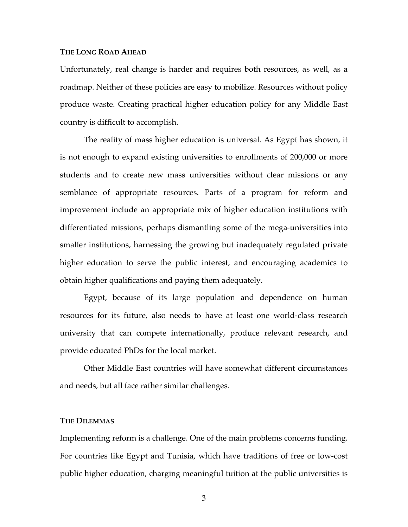### **THE LONG ROAD AHEAD**

Unfortunately, real change is harder and requires both resources, as well, as a roadmap. Neither of these policies are easy to mobilize. Resources without policy produce waste. Creating practical higher education policy for any Middle East country is difficult to accomplish.

The reality of mass higher education is universal. As Egypt has shown, it is not enough to expand existing universities to enrollments of 200,000 or more students and to create new mass universities without clear missions or any semblance of appropriate resources. Parts of a program for reform and improvement include an appropriate mix of higher education institutions with differentiated missions, perhaps dismantling some of the mega-universities into smaller institutions, harnessing the growing but inadequately regulated private higher education to serve the public interest, and encouraging academics to obtain higher qualifications and paying them adequately.

Egypt, because of its large population and dependence on human resources for its future, also needs to have at least one world-class research university that can compete internationally, produce relevant research, and provide educated PhDs for the local market.

Other Middle East countries will have somewhat different circumstances and needs, but all face rather similar challenges.

## **THE DILEMMAS**

Implementing reform is a challenge. One of the main problems concerns funding. For countries like Egypt and Tunisia, which have traditions of free or low-cost public higher education, charging meaningful tuition at the public universities is

3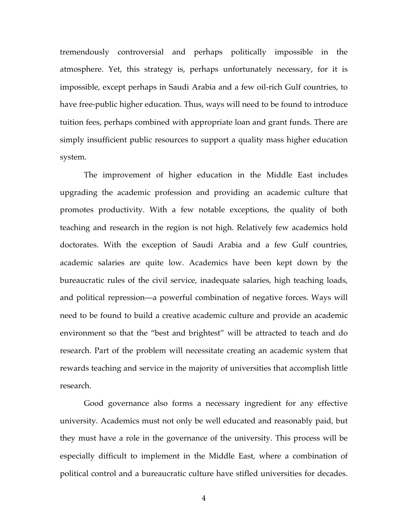tremendously controversial and perhaps politically impossible in the atmosphere. Yet, this strategy is, perhaps unfortunately necessary, for it is impossible, except perhaps in Saudi Arabia and a few oil-rich Gulf countries, to have free-public higher education. Thus, ways will need to be found to introduce tuition fees, perhaps combined with appropriate loan and grant funds. There are simply insufficient public resources to support a quality mass higher education system.

The improvement of higher education in the Middle East includes upgrading the academic profession and providing an academic culture that promotes productivity. With a few notable exceptions, the quality of both teaching and research in the region is not high. Relatively few academics hold doctorates. With the exception of Saudi Arabia and a few Gulf countries, academic salaries are quite low. Academics have been kept down by the bureaucratic rules of the civil service, inadequate salaries, high teaching loads, and political repression—a powerful combination of negative forces. Ways will need to be found to build a creative academic culture and provide an academic environment so that the "best and brightest" will be attracted to teach and do research. Part of the problem will necessitate creating an academic system that rewards teaching and service in the majority of universities that accomplish little research.

Good governance also forms a necessary ingredient for any effective university. Academics must not only be well educated and reasonably paid, but they must have a role in the governance of the university. This process will be especially difficult to implement in the Middle East, where a combination of political control and a bureaucratic culture have stifled universities for decades.